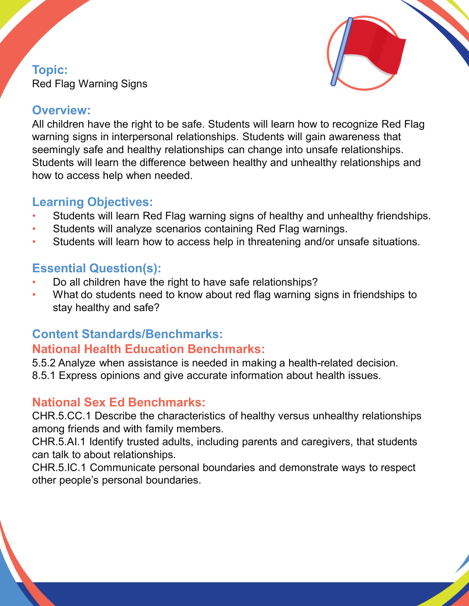#### **Topic:**  Red Flag Warning Signs



#### **Overview:**

All children have the right to be safe. Students will learn how to recognize Red Flag warning signs in interpersonal relationships. Students will gain awareness that seemingly safe and healthy relationships can change into unsafe relationships. Students will learn the difference between healthy and unhealthy relationships and how to access help when needed.

# **Learning Objectives:**

- Students will learn Red Flag warning signs of healthy and unhealthy friendships.
- Students will analyze scenarios containing Red Flag warnings.
- Students will learn how to access help in threatening and/or unsafe situations.

# **Essential Question(s):**

- Do all children have the right to have safe relationships?
- What do students need to know about red flag warning signs in friendships to stay healthy and safe?

# **Content Standards/Benchmarks: National Health Education Benchmarks:**

5.5.2 Analyze when assistance is needed in making a health-related decision. 8.5.1 Express opinions and give accurate information about health issues.

# **National Sex Ed Benchmarks:**

CHR.5.CC.1 Describe the characteristics of healthy versus unhealthy relationships among friends and with family members.

CHR.5.AI.1 Identify trusted adults, including parents and caregivers, that students can talk to about relationships.

CHR.5.IC.1 Communicate personal boundaries and demonstrate ways to respect other people's personal boundaries.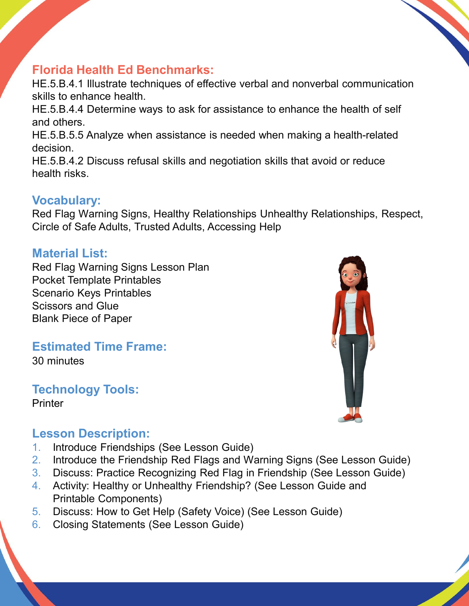# **Florida Health Ed Benchmarks:**

HE.5.B.4.1 Illustrate techniques of effective verbal and nonverbal communication skills to enhance health.

HE.5.B.4.4 Determine ways to ask for assistance to enhance the health of self and others.

HE.5.B.5.5 Analyze when assistance is needed when making a health-related decision.

HE.5.B.4.2 Discuss refusal skills and negotiation skills that avoid or reduce health risks.

#### **Vocabulary:**

Red Flag Warning Signs, Healthy Relationships Unhealthy Relationships, Respect, Circle of Safe Adults, Trusted Adults, Accessing Help

# **Material List:**

Red Flag Warning Signs Lesson Plan Pocket Template Printables Scenario Keys Printables Scissors and Glue Blank Piece of Paper

# **Estimated Time Frame:**

30 minutes

#### **Technology Tools: Printer**



#### **Lesson Description:**

- 1. Introduce Friendships (See Lesson Guide)
- 2. Introduce the Friendship Red Flags and Warning Signs (See Lesson Guide)
- 3. Discuss: Practice Recognizing Red Flag in Friendship (See Lesson Guide)
- 4. Activity: Healthy or Unhealthy Friendship? (See Lesson Guide and Printable Components)
- 5. Discuss: How to Get Help (Safety Voice) (See Lesson Guide)
- 6. Closing Statements (See Lesson Guide)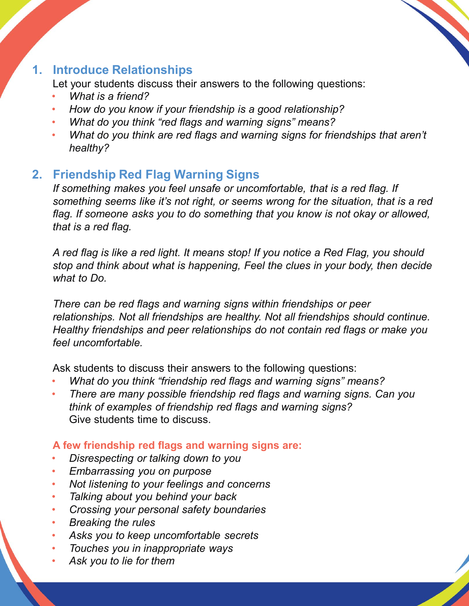

# **1. Introduce Relationships**

Let your students discuss their answers to the following questions:

- *What is a friend?*
- *How do you know if your friendship is a good relationship?*
- *What do you think "red flags and warning signs" means?*
- *What do you think are red flags and warning signs for friendships that aren't healthy?*

# **2. Friendship Red Flag Warning Signs**

*If something makes you feel unsafe or uncomfortable, that is a red flag. If something seems like it's not right, or seems wrong for the situation, that is a red flag. If someone asks you to do something that you know is not okay or allowed, that is a red flag.* 

*A red flag is like a red light. It means stop! If you notice a Red Flag, you should stop and think about what is happening, Feel the clues in your body, then decide what to Do.* 

*There can be red flags and warning signs within friendships or peer relationships. Not all friendships are healthy. Not all friendships should continue. Healthy friendships and peer relationships do not contain red flags or make you feel uncomfortable.* 

Ask students to discuss their answers to the following questions:

- *What do you think "friendship red flags and warning signs" means?*
- *There are many possible friendship red flags and warning signs. Can you think of examples of friendship red flags and warning signs?*  Give students time to discuss.

#### **A few friendship red flags and warning signs are:**

- *Disrespecting or talking down to you*
- *Embarrassing you on purpose*
- *Not listening to your feelings and concerns*
- *Talking about you behind your back*
- *Crossing your personal safety boundaries*
- *Breaking the rules*
- *Asks you to keep uncomfortable secrets*
- *Touches you in inappropriate ways*
- *Ask you to lie for them*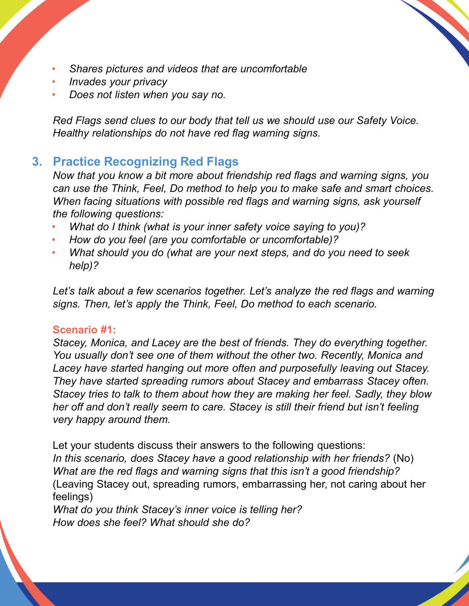- *Shares pictures and videos that are uncomfortable*
- *Invades your privacy*
- *Does not listen when you say no.*

*Red Flags send clues to our body that tell us we should use our Safety Voice. Healthy relationships do not have red flag warning signs.*

#### **3. Practice Recognizing Red Flags**

*Now that you know a bit more about friendship red flags and warning signs, you can use the Think, Feel, Do method to help you to make safe and smart choices. When facing situations with possible red flags and warning signs, ask yourself the following questions:*

- *What do I think (what is your inner safety voice saying to you)?*
- *How do you feel (are you comfortable or uncomfortable)?*
- *What should you do (what are your next steps, and do you need to seek help)?*

Let's talk about a few scenarios together. Let's analyze the red flags and warning *signs. Then, let's apply the Think, Feel, Do method to each scenario.* 

#### **Scenario #1:**

*Stacey, Monica, and Lacey are the best of friends. They do everything together. You usually don't see one of them without the other two. Recently, Monica and Lacey have started hanging out more often and purposefully leaving out Stacey. They have started spreading rumors about Stacey and embarrass Stacey often. Stacey tries to talk to them about how they are making her feel. Sadly, they blow her off and don't really seem to care. Stacey is still their friend but isn't feeling very happy around them.*

Let your students discuss their answers to the following questions: *In this scenario, does Stacey have a good relationship with her friends?* (No) *What are the red flags and warning signs that this isn't a good friendship?*  (Leaving Stacey out, spreading rumors, embarrassing her, not caring about her feelings)

*What do you think Stacey's inner voice is telling her? How does she feel? What should she do?*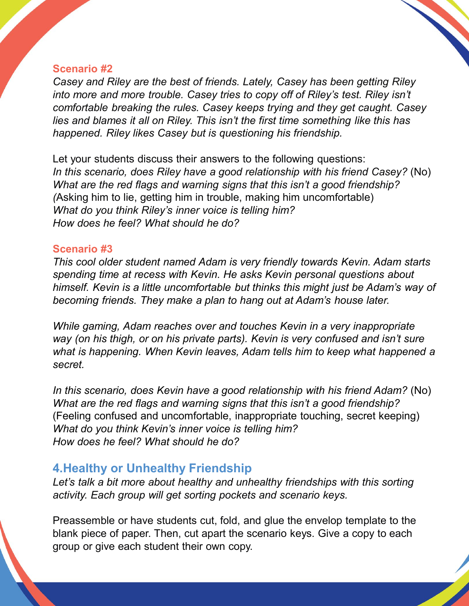#### **Scenario #2**

*Casey and Riley are the best of friends. Lately, Casey has been getting Riley*  into more and more trouble. Casey tries to copy off of Riley's test. Riley isn't *comfortable breaking the rules. Casey keeps trying and they get caught. Casey lies and blames it all on Riley. This isn't the first time something like this has happened. Riley likes Casey but is questioning his friendship.* 

Let your students discuss their answers to the following questions: *In this scenario, does Riley have a good relationship with his friend Casey?* (No) *What are the red flags and warning signs that this isn't a good friendship? (*Asking him to lie, getting him in trouble, making him uncomfortable) *What do you think Riley's inner voice is telling him? How does he feel? What should he do?*

#### **Scenario #3**

*This cool older student named Adam is very friendly towards Kevin. Adam starts spending time at recess with Kevin. He asks Kevin personal questions about himself. Kevin is a little uncomfortable but thinks this might just be Adam's way of becoming friends. They make a plan to hang out at Adam's house later.* 

*While gaming, Adam reaches over and touches Kevin in a very inappropriate way (on his thigh, or on his private parts). Kevin is very confused and isn't sure*  what is happening. When Kevin leaves, Adam tells him to keep what happened a *secret.* 

In this scenario, does Kevin have a good relationship with his friend Adam? (No) *What are the red flags and warning signs that this isn't a good friendship?*  (Feeling confused and uncomfortable, inappropriate touching, secret keeping) *What do you think Kevin's inner voice is telling him? How does he feel? What should he do?*

# **4.Healthy or Unhealthy Friendship**

Let's talk a bit more about healthy and unhealthy friendships with this sorting *activity. Each group will get sorting pockets and scenario keys.* 

Preassemble or have students cut, fold, and glue the envelop template to the blank piece of paper. Then, cut apart the scenario keys. Give a copy to each group or give each student their own copy.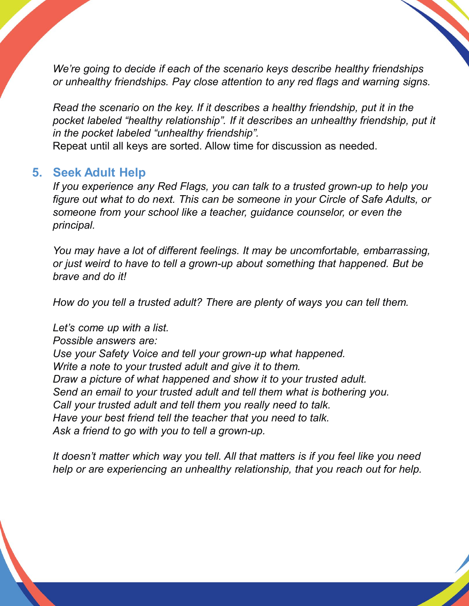*We're going to decide if each of the scenario keys describe healthy friendships or unhealthy friendships. Pay close attention to any red flags and warning signs.* 

*Read the scenario on the key. If it describes a healthy friendship, put it in the*  pocket labeled "healthy relationship". If it describes an unhealthy friendship, put it *in the pocket labeled "unhealthy friendship".*

Repeat until all keys are sorted. Allow time for discussion as needed.

#### **5. Seek Adult Help**

*If you experience any Red Flags, you can talk to a trusted grown-up to help you figure out what to do next. This can be someone in your Circle of Safe Adults, or someone from your school like a teacher, guidance counselor, or even the principal.* 

*You may have a lot of different feelings. It may be uncomfortable, embarrassing, or just weird to have to tell a grown-up about something that happened. But be brave and do it!* 

*How do you tell a trusted adult? There are plenty of ways you can tell them.* 

*Let's come up with a list. Possible answers are: Use your Safety Voice and tell your grown-up what happened. Write a note to your trusted adult and give it to them. Draw a picture of what happened and show it to your trusted adult. Send an email to your trusted adult and tell them what is bothering you. Call your trusted adult and tell them you really need to talk. Have your best friend tell the teacher that you need to talk. Ask a friend to go with you to tell a grown-up.*

*It doesn't matter which way you tell. All that matters is if you feel like you need help or are experiencing an unhealthy relationship, that you reach out for help.*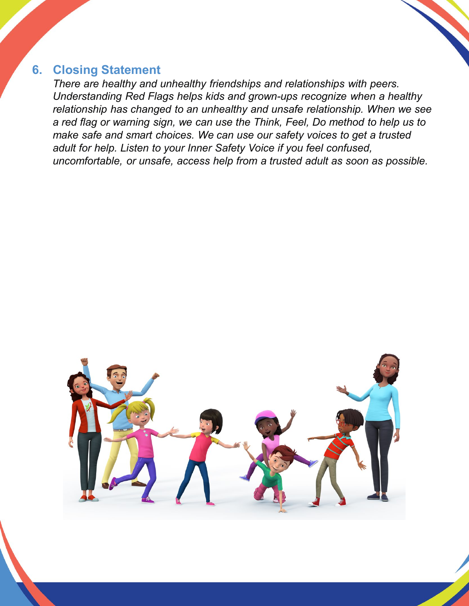#### **6. Closing Statement**

*There are healthy and unhealthy friendships and relationships with peers. Understanding Red Flags helps kids and grown-ups recognize when a healthy relationship has changed to an unhealthy and unsafe relationship. When we see a red flag or warning sign, we can use the Think, Feel, Do method to help us to make safe and smart choices. We can use our safety voices to get a trusted adult for help. Listen to your Inner Safety Voice if you feel confused, uncomfortable, or unsafe, access help from a trusted adult as soon as possible.*

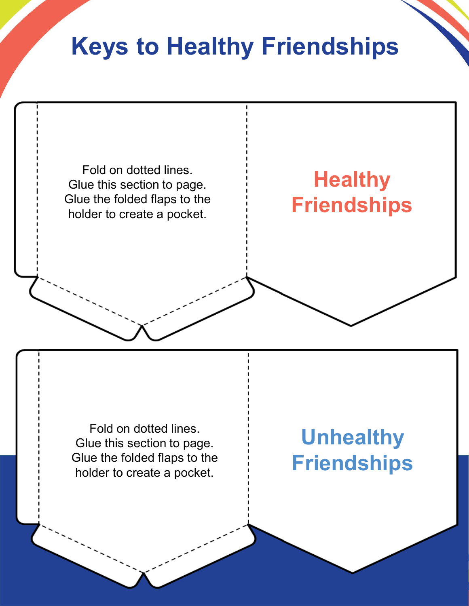# **Keys to Healthy Friendships**

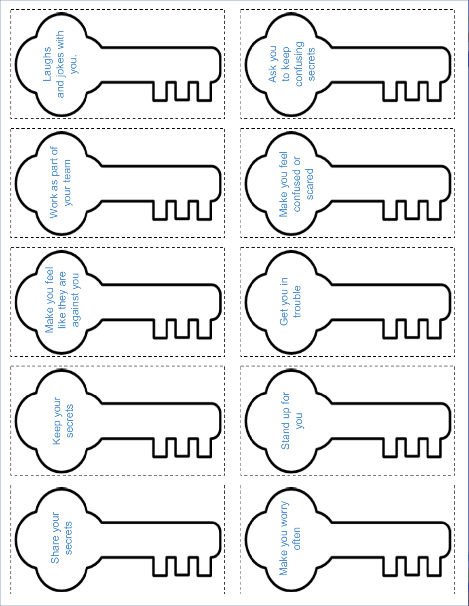